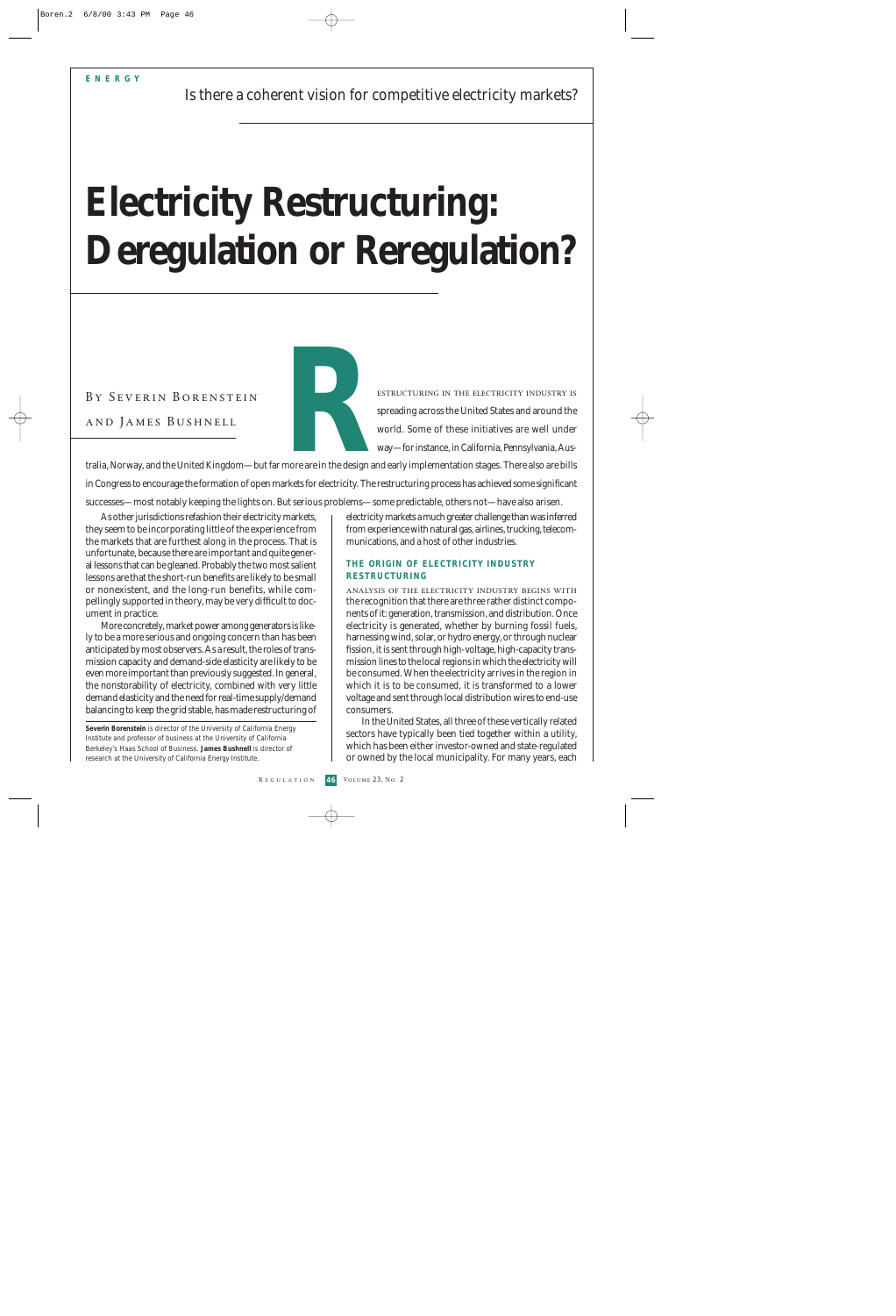# **Electricity Restructuring: Deregulation or Reregulation?**

and James Bushnell

estructuring in the electricity industry is spreading across the United States and around the world. Some of these initiatives are well under way—for instance, in California, Pennsylvania, Aus-

tralia, Norway, and the United Kingdom—but far more are in the design and early implementation stages. There also are bills in Congress to encourage the formation of open markets for electricity. The restructuring process has achieved some significant BY SEVERIN BORENSTEIN<br>
AND JAMES BUSHNELL<br>
Tralia, Norway, and the United Kingdom—but far more are in the design are<br>
in Congress to encourage the formation of open markets for electricity. The

successes—most notably keeping the lights on. But serious problems—some predictable, others not—have also arisen.

As other jurisdictions refashion their electricity markets, they seem to be incorporating little of the experience from the markets that are furthest along in the process. That is unfortunate, because there are important and quite general lessons that can be gleaned. Probably the two most salient lessons are that the short-run benefits are likely to be small or nonexistent, and the long-run benefits, while compellingly supported in theory, may be very difficult to document in practice.

More concretely, market power among generators is likely to be a more serious and ongoing concern than has been anticipated by most observers. As a result, the roles of transmission capacity and demand-side elasticity are likely to be even more important than previously suggested. In general, the nonstorability of electricity, combined with very little demand elasticity and the need for real-time supply/demand balancing to keep the grid stable, has made restructuring of

**Severin Borenstein** is director of the University of California Energy Institute and professor of business at the University of California Berkeley's Haas School of Business. **James Bushnell** is director of research at the University of California Energy Institute.

electricity markets a much greater challenge than was inferred from experience with natural gas, airlines, trucking, telecommunications, and a host of other industries.

### **THE ORIGIN OF ELECTRICITY INDUSTRY RESTRUCTURING**

analysis of the electricity industry begins with the recognition that there are three rather distinct components of it: generation, transmission, and distribution. Once electricity is generated, whether by burning fossil fuels, harnessing wind, solar, or hydro energy, or through nuclear fission, it is sent through high-voltage, high-capacity transmission lines to the local regions in which the electricity will be consumed. When the electricity arrives in the region in which it is to be consumed, it is transformed to a lower voltage and sent through local distribution wires to end-use consumers.

In the United States, all three of these vertically related sectors have typically been tied together within a utility, which has been either investor-owned and state-regulated or owned by the local municipality. For many years, each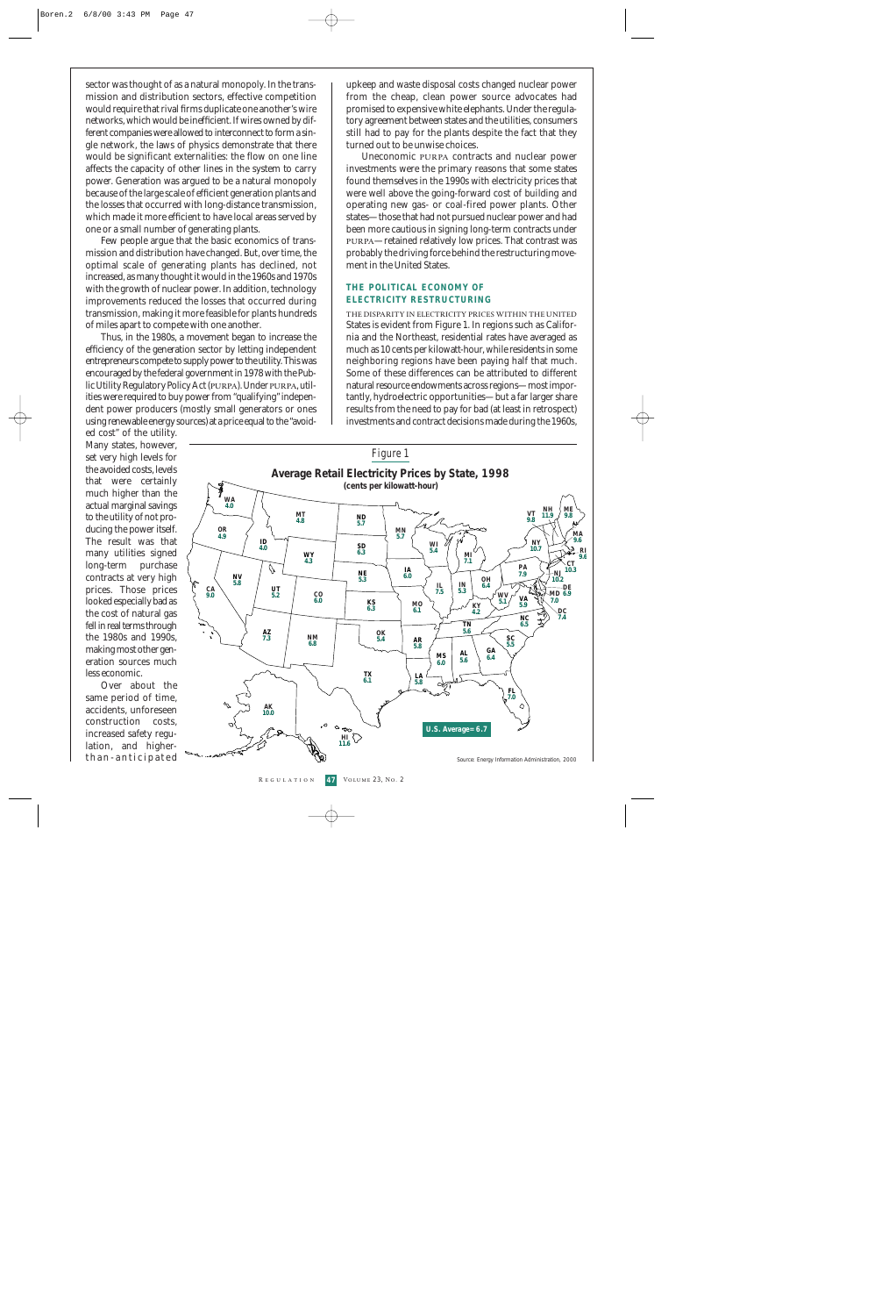sector was thought of as a natural monopoly. In the transmission and distribution sectors, effective competition would require that rival firms duplicate one another's wire networks, which would be inefficient. If wires owned by different companies were allowed to interconnect to form a single network, the laws of physics demonstrate that there would be significant externalities: the flow on one line affects the capacity of other lines in the system to carry power. Generation was argued to be a natural monopoly because of the large scale of efficient generation plants and the losses that occurred with long-distance transmission, which made it more efficient to have local areas served by one or a small number of generating plants.

Few people argue that the basic economics of transmission and distribution have changed. But, over time, the optimal scale of generating plants has declined, not increased, as many thought it would in the 1960s and 1970s with the growth of nuclear power. In addition, technology improvements reduced the losses that occurred during transmission, making it more feasible for plants hundreds of miles apart to compete with one another.

Thus, in the 1980s, a movement began to increase the efficiency of the generation sector by letting independent entrepreneurs compete to supply power to the utility. This was encouraged by the federal government in 1978 with the Public Utility Regulatory Policy Act (purpa). Under purpa, utilities were required to buy power from "qualifying" independent power producers (mostly small generators or ones using renewable energy sources) at a price equal to the "avoid-

upkeep and waste disposal costs changed nuclear power from the cheap, clean power source advocates had promised to expensive white elephants. Under the regulatory agreement between states and the utilities, consumers still had to pay for the plants despite the fact that they turned out to be unwise choices.

Uneconomic purpa contracts and nuclear power investments were the primary reasons that some states found themselves in the 1990s with electricity prices that were well above the going-forward cost of building and operating new gas- or coal-fired power plants. Other states—those that had not pursued nuclear power and had been more cautious in signing long-term contracts under purpa—retained relatively low prices. That contrast was probably the driving force behind the restructuring movement in the United States.

#### **THE POLITICAL ECONOMY OF ELECTRICITY RESTRUCTURING**

the disparity in electricity prices within the united States is evident from Figure 1. In regions such as California and the Northeast, residential rates have averaged as much as 10 cents per kilowatt-hour, while residents in some neighboring regions have been paying half that much. Some of these differences can be attributed to different natural resource endowments across regions—most importantly, hydroelectric opportunities—but a far larger share results from the need to pay for bad (at least in retrospect) investments and contract decisions made during the 1960s,

ed cost" of the utility. Many states, however, set very high levels for the avoided costs, levels that were certainly much higher than the actual marginal savings to the utility of not producing the power itself. The result was that many utilities signed long-term purchase contracts at very high prices. Those prices looked especially bad as the cost of natural gas fell in real terms through the 1980s and 1990s, making most other generation sources much less economic.

Over about the same period of time, accidents, unforeseen construction costs, increased safety regulation, and higherthan-anticipated

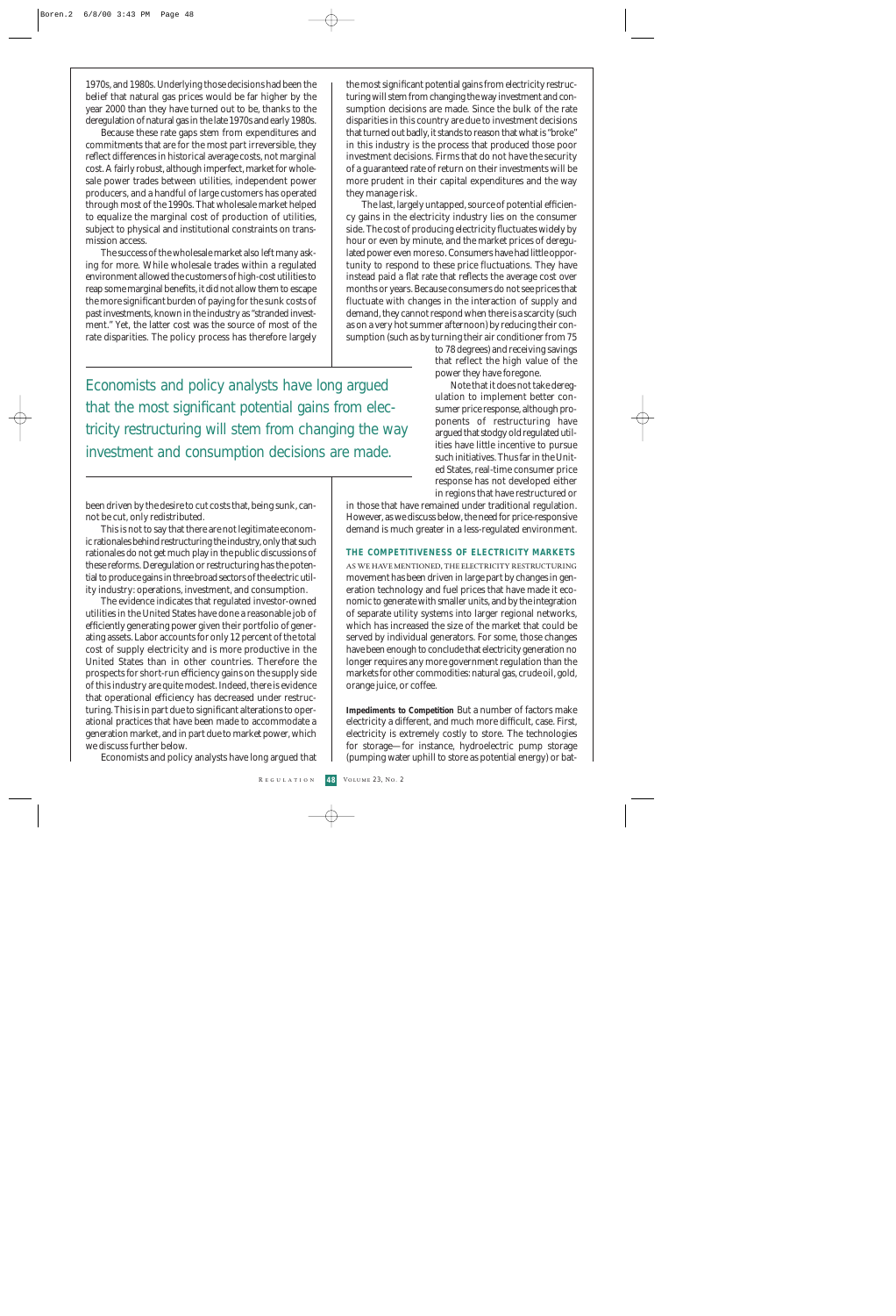1970s, and 1980s. Underlying those decisions had been the belief that natural gas prices would be far higher by the year 2000 than they have turned out to be, thanks to the deregulation of natural gas in the late 1970s and early 1980s.

Because these rate gaps stem from expenditures and commitments that are for the most part irreversible, they reflect differences in historical average costs, not marginal cost. A fairly robust, although imperfect, market for wholesale power trades between utilities, independent power producers, and a handful of large customers has operated through most of the 1990s. That wholesale market helped to equalize the marginal cost of production of utilities, subject to physical and institutional constraints on transmission access.

The success of the wholesale market also left many asking for more. While wholesale trades within a regulated environment allowed the customers of high-cost utilities to reap some marginal benefits, it did not allow them to escape the more significant burden of paying for the sunk costs of past investments, known in the industry as "stranded investment." Yet, the latter cost was the source of most of the rate disparities. The policy process has therefore largely

Economists and policy analysts have long argued that the most significant potential gains from electricity restructuring will stem from changing the way investment and consumption decisions are made.

been driven by the desire to cut costs that, being sunk, cannot be cut, only redistributed.

This is not to say that there are not legitimate economic rationales behind restructuring the industry, only that such rationales do not get much play in the public discussions of these reforms. Deregulation or restructuring has the potential to produce gains in three broad sectors of the electric utility industry: operations, investment, and consumption.

The evidence indicates that regulated investor-owned utilities in the United States have done a reasonable job of efficiently generating power given their portfolio of generating assets. Labor accounts for only 12 percent of the total cost of supply electricity and is more productive in the United States than in other countries. Therefore the prospects for short-run efficiency gains on the supply side of this industry are quite modest. Indeed, there is evidence that operational efficiency has decreased under restructuring. This is in part due to significant alterations to operational practices that have been made to accommodate a generation market, and in part due to market power, which we discuss further below.

Economists and policy analysts have long argued that

the most significant potential gains from electricity restructuring will stem from changing the way investment and consumption decisions are made. Since the bulk of the rate disparities in this country are due to investment decisions that turned out badly, it stands to reason that what is "broke" in this industry is the process that produced those poor investment decisions. Firms that do not have the security of a guaranteed rate of return on their investments will be more prudent in their capital expenditures and the way they manage risk.

The last, largely untapped, source of potential efficiency gains in the electricity industry lies on the consumer side. The cost of producing electricity fluctuates widely by hour or even by minute, and the market prices of deregulated power even more so. Consumers have had little opportunity to respond to these price fluctuations. They have instead paid a flat rate that reflects the average cost over months or years. Because consumers do not see prices that fluctuate with changes in the interaction of supply and demand, they cannot respond when there is a scarcity (such as on a very hot summer afternoon) by reducing their consumption (such as by turning their air conditioner from 75

> to 78 degrees) and receiving savings that reflect the high value of the power they have foregone.

> Note that it does not take deregulation to implement better consumer price response, although proponents of restructuring have argued that stodgy old regulated utilities have little incentive to pursue such initiatives. Thus far in the United States, real-time consumer price response has not developed either in regions that have restructured or

in those that have remained under traditional regulation. However, as we discuss below, the need for price-responsive demand is much greater in a less-regulated environment.

#### **THE COMPETITIVENESS OF ELECTRICITY MARKETS**

as we have mentioned, the electricity restructuringmovement has been driven in large part by changes in generation technology and fuel prices that have made it economic to generate with smaller units, and by the integration of separate utility systems into larger regional networks, which has increased the size of the market that could be served by individual generators. For some, those changes have been enough to conclude that electricity generation no longer requires any more government regulation than the markets for other commodities: natural gas, crude oil, gold, orange juice, or coffee.

**Impediments to Competition** But a number of factors make electricity a different, and much more difficult, case. First, electricity is extremely costly to store. The technologies for storage—for instance, hydroelectric pump storage (pumping water uphill to store as potential energy) or bat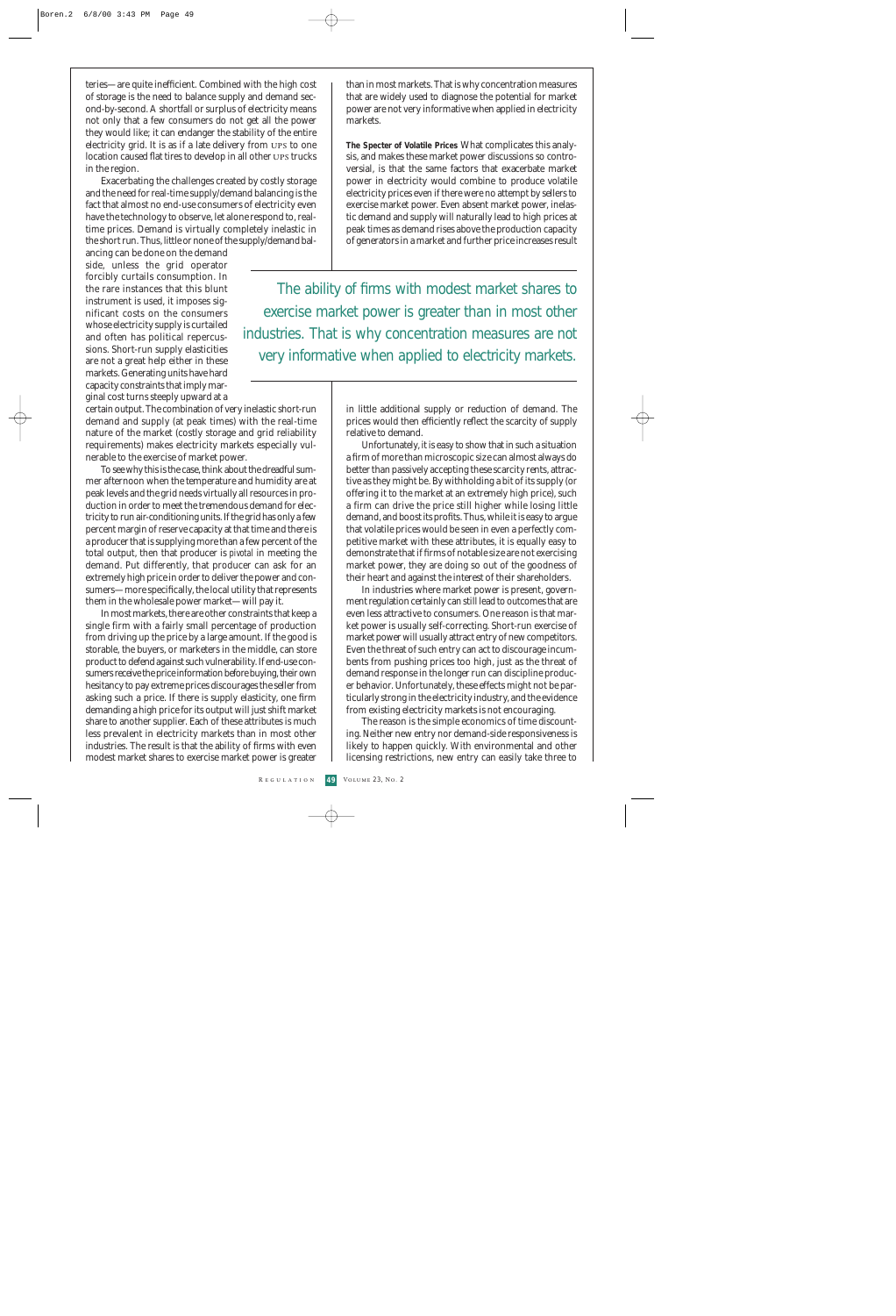teries—are quite inefficient. Combined with the high cost of storage is the need to balance supply and demand second-by-second. A shortfall or surplus of electricity means not only that a few consumers do not get all the power they would like; it can endanger the stability of the entire electricity grid. It is as if a late delivery from ups to one location caused flat tires to develop in all other ups trucks in the region.

Exacerbating the challenges created by costly storage and the need for real-time supply/demand balancing is the fact that almost no end-use consumers of electricity even have the technology to observe, let alone respond to, realtime prices. Demand is virtually completely inelastic in the short run. Thus, little or none of the supply/demand bal-

ancing can be done on the demand side, unless the grid operator forcibly curtails consumption. In the rare instances that this blunt instrument is used, it imposes significant costs on the consumers whose electricity supply is curtailed and often has political repercussions. Short-run supply elasticities are not a great help either in these markets. Generating units have hard capacity constraints that imply marginal cost turns steeply upward at a

certain output. The combination of very inelastic short-run demand and supply (at peak times) with the real-time nature of the market (costly storage and grid reliability requirements) makes electricity markets especially vulnerable to the exercise of market power.

To see why this is the case, think about the dreadful summer afternoon when the temperature and humidity are at peak levels and the grid needs virtually all resources in production in order to meet the tremendous demand for electricity to run air-conditioning units. If the grid has only a few percent margin of reserve capacity at that time and there is a producer that is supplying more than a few percent of the total output, then that producer is *pivotal* in meeting the demand. Put differently, that producer can ask for an extremely high price in order to deliver the power and consumers—more specifically, the local utility that represents them in the wholesale power market—will pay it.

In most markets, there are other constraints that keep a single firm with a fairly small percentage of production from driving up the price by a large amount. If the good is storable, the buyers, or marketers in the middle, can store product to defend against such vulnerability. If end-use consumers receive the price information before buying, their own hesitancy to pay extreme prices discourages the seller from asking such a price. If there is supply elasticity, one firm demanding a high price for its output will just shift market share to another supplier. Each of these attributes is much less prevalent in electricity markets than in most other industries. The result is that the ability of firms with even modest market shares to exercise market power is greater

than in most markets. That is why concentration measures that are widely used to diagnose the potential for market power are not very informative when applied in electricity markets.

**The Specter of Volatile Prices** What complicates this analysis, and makes these market power discussions so controversial, is that the same factors that exacerbate market power in electricity would combine to produce volatile electricity prices even if there were no attempt by sellers to exercise market power. Even absent market power, inelastic demand and supply will naturally lead to high prices at peak times as demand rises above the production capacity of generators in a market and further price increases result

The ability of firms with modest market shares to exercise market power is greater than in most other industries. That is why concentration measures are not very informative when applied to electricity markets.

> in little additional supply or reduction of demand. The prices would then efficiently reflect the scarcity of supply relative to demand.

> Unfortunately, it is easy to show that in such a situation a firm of more than microscopic size can almost always do better than passively accepting these scarcity rents, attractive as they might be. By withholding a bit of its supply (or offering it to the market at an extremely high price), such a firm can drive the price still higher while losing little demand, and boost its profits. Thus, while it is easy to argue that volatile prices would be seen in even a perfectly competitive market with these attributes, it is equally easy to demonstrate that if firms of notable size are not exercising market power, they are doing so out of the goodness of their heart and against the interest of their shareholders.

> In industries where market power is present, government regulation certainly can still lead to outcomes that are even less attractive to consumers. One reason is that market power is usually self-correcting. Short-run exercise of market power will usually attract entry of new competitors. Even the threat of such entry can act to discourage incumbents from pushing prices too high, just as the threat of demand response in the longer run can discipline producer behavior. Unfortunately, these effects might not be particularly strong in the electricity industry, and the evidence from existing electricity markets is not encouraging.

> The reason is the simple economics of time discounting. Neither new entry nor demand-side responsiveness is likely to happen quickly. With environmental and other licensing restrictions, new entry can easily take three to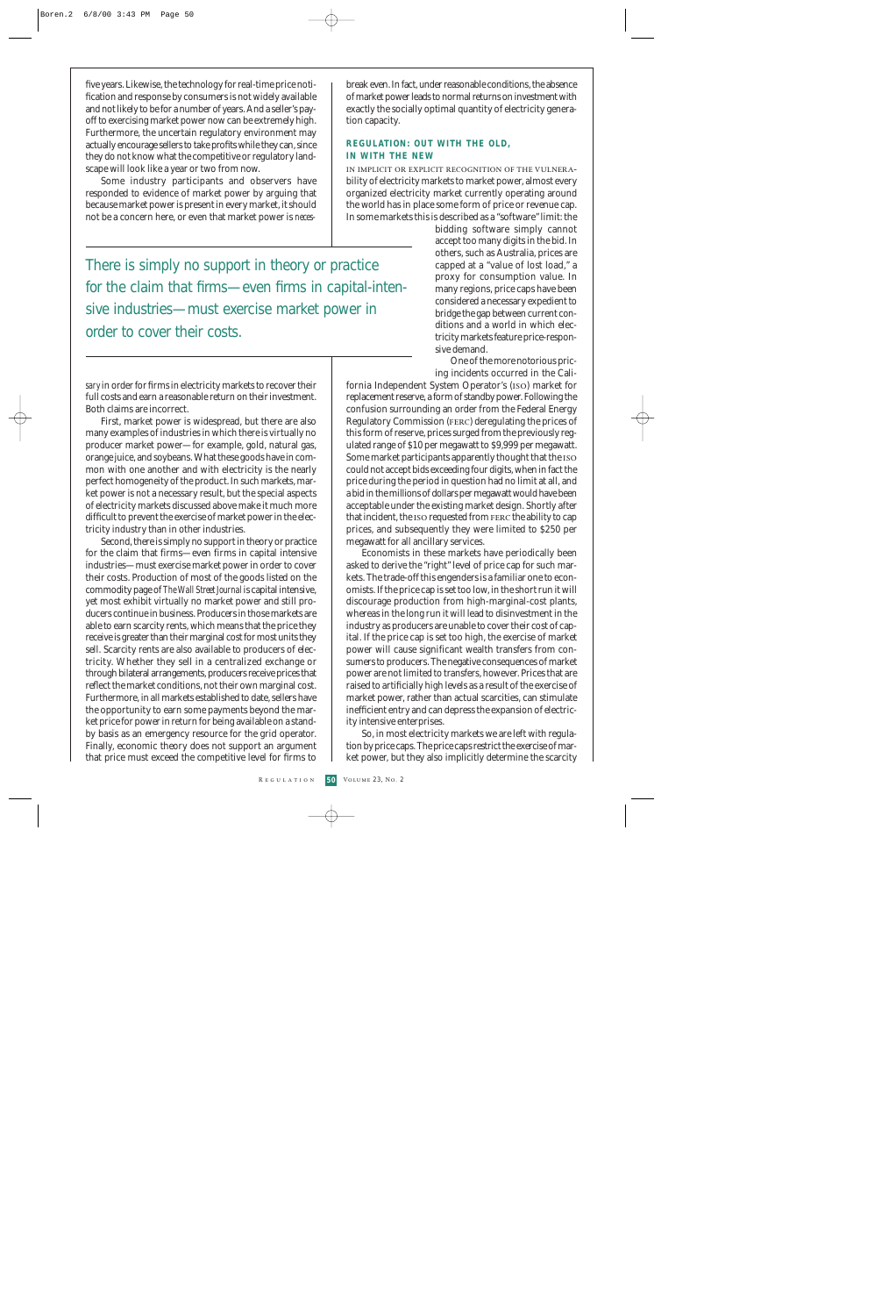five years. Likewise, the technology for real-time price notification and response by consumers is not widely available and not likely to be for a number of years. And a seller's payoff to exercising market power now can be extremely high. Furthermore, the uncertain regulatory environment may actually encourage sellers to take profits while they can, since they do not know what the competitive or regulatory landscape will look like a year or two from now.

Some industry participants and observers have responded to evidence of market power by arguing that because market power is present in every market, it should not be a concern here, or even that market power is *neces-*

break even. In fact, under reasonable conditions, the absence of market power leads to normal returns on investment with exactly the socially optimal quantity of electricity generation capacity.

#### **REGULATION: OUT WITH THE OLD, IN WITH THE NEW**

in implicit or explicit recognition of the vulnerability of electricity markets to market power, almost every organized electricity market currently operating around the world has in place some form of price or revenue cap. In some markets this is described as a "software" limit: the

There is simply no support in theory or practice for the claim that firms—even firms in capital-intensive industries—must exercise market power in order to cover their costs.

*sary*in order for firms in electricity markets to recover their full costs and earn a reasonable return on their investment. Both claims are incorrect.

First, market power is widespread, but there are also many examples of industries in which there is virtually no producer market power—for example, gold, natural gas, orange juice, and soybeans. What these goods have in common with one another and with electricity is the nearly perfect homogeneity of the product. In such markets, market power is not a necessary result, but the special aspects of electricity markets discussed above make it much more difficult to prevent the exercise of market power in the electricity industry than in other industries.

Second, there is simply no support in theory or practice for the claim that firms—even firms in capital intensive industries—must exercise market power in order to cover their costs. Production of most of the goods listed on the commodity page of *The Wall Street Journal* is capital intensive, yet most exhibit virtually no market power and still producers continue in business. Producers in those markets are able to earn scarcity rents, which means that the price they receive is greater than their marginal cost for most units they sell. Scarcity rents are also available to producers of electricity. Whether they sell in a centralized exchange or through bilateral arrangements, producers receive prices that reflect the market conditions, not their own marginal cost. Furthermore, in all markets established to date, sellers have the opportunity to earn some payments beyond the market price for power in return for being available on a standby basis as an emergency resource for the grid operator. Finally, economic theory does not support an argument that price must exceed the competitive level for firms to bidding software simply cannot accept too many digits in the bid. In others, such as Australia, prices are capped at a "value of lost load," a proxy for consumption value. In many regions, price caps have been considered a necessary expedient to bridge the gap between current conditions and a world in which electricity markets feature price-responsive demand.

One of the more notorious pricing incidents occurred in the Cali-

fornia Independent System Operator's (iso) market for replacement reserve, a form of standby power. Following the confusion surrounding an order from the Federal Energy Regulatory Commission (ferc) deregulating the prices of this form of reserve, prices surged from the previously regulated range of \$10 per megawatt to \$9,999 per megawatt. Some market participants apparently thought that the iso could not accept bids exceeding four digits, when in fact the price during the period in question had no limit at all, and a bid in the millions of dollars per megawatt would have been acceptable under the existing market design. Shortly after that incident, the ISO requested from FERC the ability to cap prices, and subsequently they were limited to \$250 per megawatt for all ancillary services.

Economists in these markets have periodically been asked to derive the "right" level of price cap for such markets. The trade-off this engenders is a familiar one to economists. If the price cap is set too low, in the short run it will discourage production from high-marginal-cost plants, whereas in the long run it will lead to disinvestment in the industry as producers are unable to cover their cost of capital. If the price cap is set too high, the exercise of market power will cause significant wealth transfers from consumers to producers. The negative consequences of market power are not limited to transfers, however. Prices that are raised to artificially high levels as a result of the exercise of market power, rather than actual scarcities, can stimulate inefficient entry and can depress the expansion of electricity intensive enterprises.

So, in most electricity markets we are left with regulation by price caps. The price caps restrict the exercise of market power, but they also implicitly determine the scarcity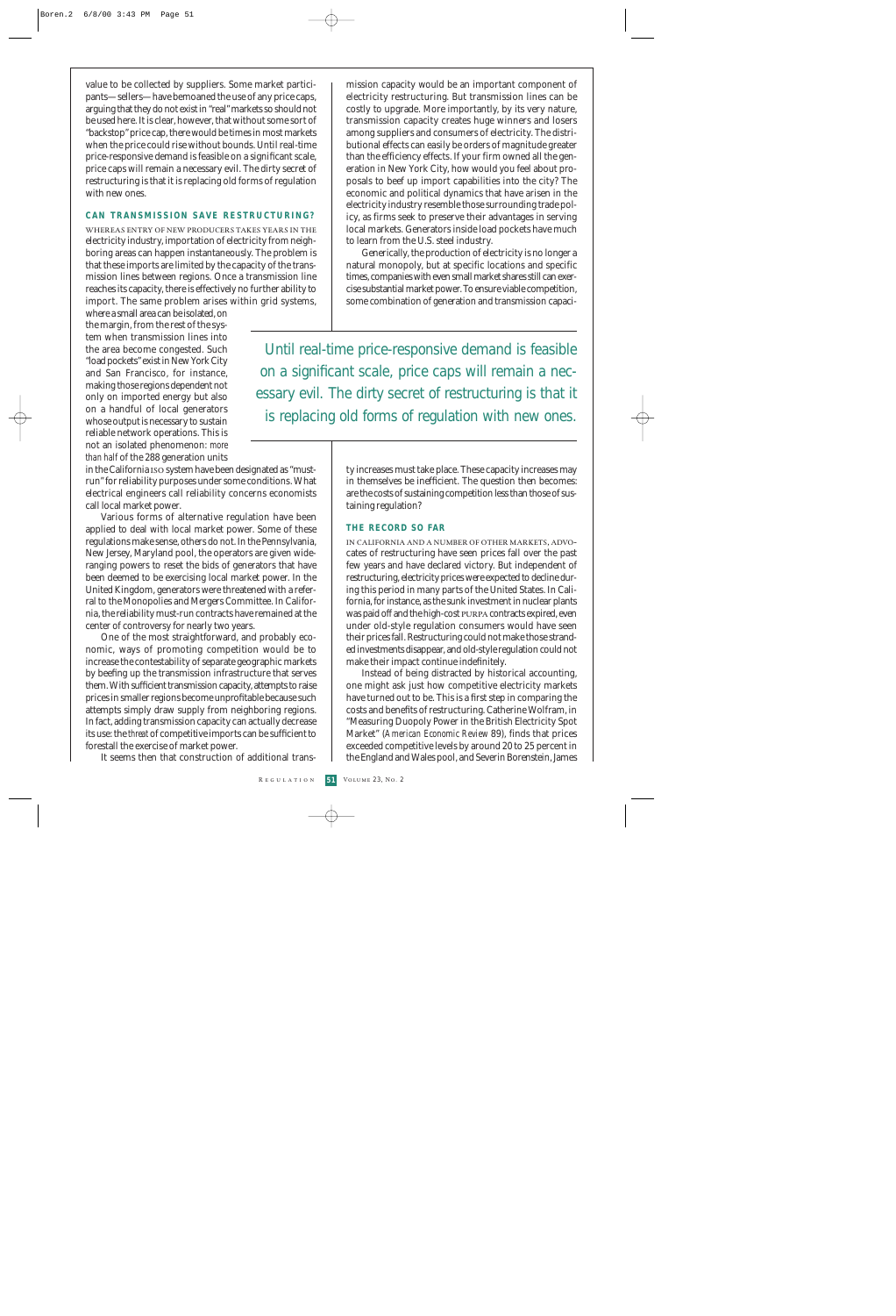value to be collected by suppliers. Some market participants—sellers—have bemoaned the use of any price caps, arguing that they do not exist in "real" markets so should not be used here. It is clear, however, that without some sort of "backstop" price cap, there would be times in most markets when the price could rise without bounds. Until real-time price-responsive demand is feasible on a significant scale, price caps will remain a necessary evil. The dirty secret of restructuring is that it is replacing old forms of regulation with new ones.

#### **CAN TRANSMISSION SAVE RESTRUCTURING?**

whereas entry of new producers takes years in the electricity industry, importation of electricity from neighboring areas can happen instantaneously. The problem is that these imports are limited by the capacity of the transmission lines between regions. Once a transmission line reaches its capacity, there is effectively no further ability to import. The same problem arises within grid systems,

where a small area can be isolated, on the margin, from the rest of the system when transmission lines into the area become congested. Such "load pockets" exist in New York City and San Francisco, for instance, making those regions dependent not only on imported energy but also on a handful of local generators whose output is necessary to sustain reliable network operations. This is not an isolated phenomenon: *more than half* of the 288 generation units

in the California iso system have been designated as "mustrun" for reliability purposes under some conditions. What electrical engineers call reliability concerns economists call local market power.

Various forms of alternative regulation have been applied to deal with local market power. Some of these regulations make sense, others do not. In the Pennsylvania, New Jersey, Maryland pool, the operators are given wideranging powers to reset the bids of generators that have been deemed to be exercising local market power. In the United Kingdom, generators were threatened with a referral to the Monopolies and Mergers Committee. In California, the reliability must-run contracts have remained at the center of controversy for nearly two years.

One of the most straightforward, and probably economic, ways of promoting competition would be to increase the contestability of separate geographic markets by beefing up the transmission infrastructure that serves them. With sufficient transmission capacity, attempts to raise prices in smaller regions become unprofitable because such attempts simply draw supply from neighboring regions. In fact, adding transmission capacity can actually decrease its use: the *threat* of competitive imports can be sufficient to forestall the exercise of market power.

It seems then that construction of additional trans-

mission capacity would be an important component of electricity restructuring. But transmission lines can be costly to upgrade. More importantly, by its very nature, transmission capacity creates huge winners and losers among suppliers and consumers of electricity. The distributional effects can easily be orders of magnitude greater than the efficiency effects. If your firm owned all the generation in New York City, how would you feel about proposals to beef up import capabilities into the city? The economic and political dynamics that have arisen in the electricity industry resemble those surrounding trade policy, as firms seek to preserve their advantages in serving local markets. Generators inside load pockets have much to learn from the U.S. steel industry.

Generically, the production of electricity is no longer a natural monopoly, but at specific locations and specific times, companies with even small market shares still can exercise substantial market power. To ensure viable competition, some combination of generation and transmission capaci-

Until real-time price-responsive demand is feasible on a significant scale, price caps will remain a necessary evil. The dirty secret of restructuring is that it is replacing old forms of regulation with new ones.

> ty increases must take place. These capacity increases may in themselves be inefficient. The question then becomes: are the costs of sustaining competition less than those of sustaining regulation?

#### **THE RECORD SO FAR**

in california and a number of other markets, advocates of restructuring have seen prices fall over the past few years and have declared victory. But independent of restructuring, electricity prices were expected to decline during this period in many parts of the United States. In California, for instance, as the sunk investment in nuclear plants was paid off and the high-cost PURPA contracts expired, even under old-style regulation consumers would have seen their prices fall. Restructuring could not make those stranded investments disappear, and old-style regulation could not make their impact continue indefinitely.

Instead of being distracted by historical accounting, one might ask just how competitive electricity markets have turned out to be. This is a first step in comparing the costs and benefits of restructuring. Catherine Wolfram, in "Measuring Duopoly Power in the British Electricity Spot Market" (*American Economic Review* 89), finds that prices exceeded competitive levels by around 20 to 25 percent in the England and Wales pool, and Severin Borenstein, James